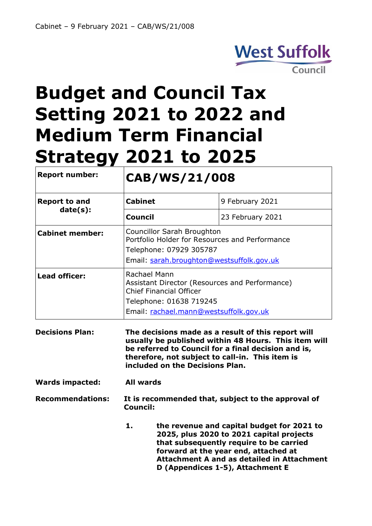

# **Budget and Council Tax Setting 2021 to 2022 and Medium Term Financial Strategy 2021 to 2025**

| <b>Report number:</b>            | CAB/WS/21/008                                                                                                                                                         |                                                    |  |
|----------------------------------|-----------------------------------------------------------------------------------------------------------------------------------------------------------------------|----------------------------------------------------|--|
| <b>Report to and</b><br>date(s): | Cabinet                                                                                                                                                               | 9 February 2021                                    |  |
|                                  | <b>Council</b>                                                                                                                                                        | 23 February 2021                                   |  |
| <b>Cabinet member:</b>           | Councillor Sarah Broughton<br>Portfolio Holder for Resources and Performance<br>Telephone: 07929 305787<br>Email: sarah.broughton@westsuffolk.gov.uk                  |                                                    |  |
| Lead officer:                    | Rachael Mann<br>Assistant Director (Resources and Performance)<br><b>Chief Financial Officer</b><br>Telephone: 01638 719245<br>Email: rachael.mann@westsuffolk.gov.uk |                                                    |  |
| <b>Decisions Plan:</b>           |                                                                                                                                                                       | The decisions made as a result of this report will |  |

**Decisions Plan: The decisions made as a result of this report will usually be published within 48 Hours. This item will be referred to Council for a final decision and is, therefore, not subject to call-in. This item is included on the Decisions Plan.**

**Wards impacted: All wards**

**Recommendations: It is recommended that, subject to the approval of Council:**

> **1. the revenue and capital budget for 2021 to 2025, plus 2020 to 2021 capital projects that subsequently require to be carried forward at the year end, attached at Attachment A and as detailed in Attachment D (Appendices 1-5), Attachment E**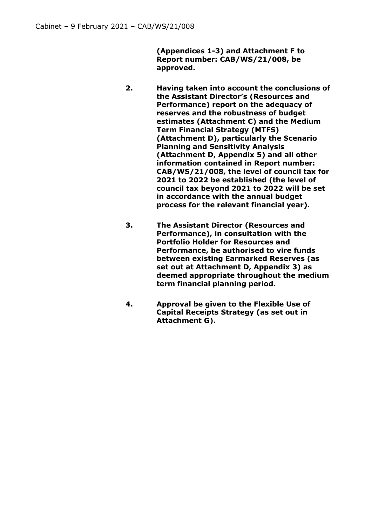**(Appendices 1-3) and Attachment F to Report number: CAB/WS/21/008, be approved.**

- **2. Having taken into account the conclusions of the Assistant Director's (Resources and Performance) report on the adequacy of reserves and the robustness of budget estimates (Attachment C) and the Medium Term Financial Strategy (MTFS) (Attachment D), particularly the Scenario Planning and Sensitivity Analysis (Attachment D, Appendix 5) and all other information contained in Report number: CAB/WS/21/008, the level of council tax for 2021 to 2022 be established (the level of council tax beyond 2021 to 2022 will be set in accordance with the annual budget process for the relevant financial year).**
- **3. The Assistant Director (Resources and Performance), in consultation with the Portfolio Holder for Resources and Performance, be authorised to vire funds between existing Earmarked Reserves (as set out at Attachment D, Appendix 3) as deemed appropriate throughout the medium term financial planning period.**
- **4. Approval be given to the Flexible Use of Capital Receipts Strategy (as set out in Attachment G).**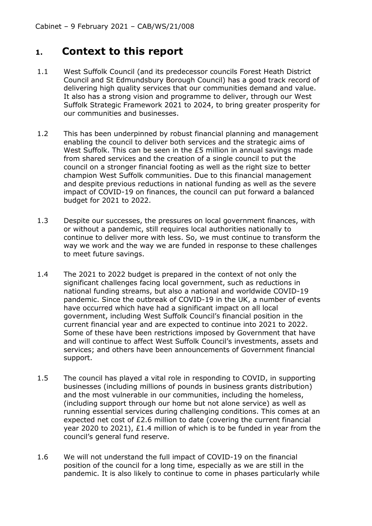# **1. Context to this report**

- 1.1 West Suffolk Council (and its predecessor councils Forest Heath District Council and St Edmundsbury Borough Council) has a good track record of delivering high quality services that our communities demand and value. It also has a strong vision and programme to deliver, through our West Suffolk Strategic Framework 2021 to 2024, to bring greater prosperity for our communities and businesses.
- 1.2 This has been underpinned by robust financial planning and management enabling the council to deliver both services and the strategic aims of West Suffolk. This can be seen in the £5 million in annual savings made from shared services and the creation of a single council to put the council on a stronger financial footing as well as the right size to better champion West Suffolk communities. Due to this financial management and despite previous reductions in national funding as well as the severe impact of COVID-19 on finances, the council can put forward a balanced budget for 2021 to 2022.
- 1.3 Despite our successes, the pressures on local government finances, with or without a pandemic, still requires local authorities nationally to continue to deliver more with less. So, we must continue to transform the way we work and the way we are funded in response to these challenges to meet future savings.
- 1.4 The 2021 to 2022 budget is prepared in the context of not only the significant challenges facing local government, such as reductions in national funding streams, but also a national and worldwide COVID-19 pandemic. Since the outbreak of COVID-19 in the UK, a number of events have occurred which have had a significant impact on all local government, including West Suffolk Council's financial position in the current financial year and are expected to continue into 2021 to 2022. Some of these have been restrictions imposed by Government that have and will continue to affect West Suffolk Council's investments, assets and services; and others have been announcements of Government financial support.
- 1.5 The council has played a vital role in responding to COVID, in supporting businesses (including millions of pounds in business grants distribution) and the most vulnerable in our communities, including the homeless, (including support through our home but not alone service) as well as running essential services during challenging conditions. This comes at an expected net cost of £2.6 million to date (covering the current financial year 2020 to 2021), £1.4 million of which is to be funded in year from the council's general fund reserve.
- 1.6 We will not understand the full impact of COVID-19 on the financial position of the council for a long time, especially as we are still in the pandemic. It is also likely to continue to come in phases particularly while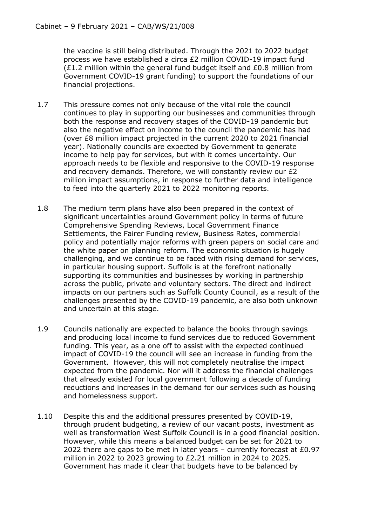the vaccine is still being distributed. Through the 2021 to 2022 budget process we have established a circa £2 million COVID-19 impact fund (£1.2 million within the general fund budget itself and £0.8 million from Government COVID-19 grant funding) to support the foundations of our financial projections.

- 1.7 This pressure comes not only because of the vital role the council continues to play in supporting our businesses and communities through both the response and recovery stages of the COVID-19 pandemic but also the negative effect on income to the council the pandemic has had (over £8 million impact projected in the current 2020 to 2021 financial year). Nationally councils are expected by Government to generate income to help pay for services, but with it comes uncertainty. Our approach needs to be flexible and responsive to the COVID-19 response and recovery demands. Therefore, we will constantly review our £2 million impact assumptions, in response to further data and intelligence to feed into the quarterly 2021 to 2022 monitoring reports.
- 1.8 The medium term plans have also been prepared in the context of significant uncertainties around Government policy in terms of future Comprehensive Spending Reviews, Local Government Finance Settlements, the Fairer Funding review, Business Rates, commercial policy and potentially major reforms with green papers on social care and the white paper on planning reform. The economic situation is hugely challenging, and we continue to be faced with rising demand for services, in particular housing support. Suffolk is at the forefront nationally supporting its communities and businesses by working in partnership across the public, private and voluntary sectors. The direct and indirect impacts on our partners such as Suffolk County Council, as a result of the challenges presented by the COVID-19 pandemic, are also both unknown and uncertain at this stage.
- 1.9 Councils nationally are expected to balance the books through savings and producing local income to fund services due to reduced Government funding. This year, as a one off to assist with the expected continued impact of COVID-19 the council will see an increase in funding from the Government. However, this will not completely neutralise the impact expected from the pandemic. Nor will it address the financial challenges that already existed for local government following a decade of funding reductions and increases in the demand for our services such as housing and homelessness support.
- 1.10 Despite this and the additional pressures presented by COVID-19, through prudent budgeting, a review of our vacant posts, investment as well as transformation West Suffolk Council is in a good financial position. However, while this means a balanced budget can be set for 2021 to 2022 there are gaps to be met in later years – currently forecast at £0.97 million in 2022 to 2023 growing to £2.21 million in 2024 to 2025. Government has made it clear that budgets have to be balanced by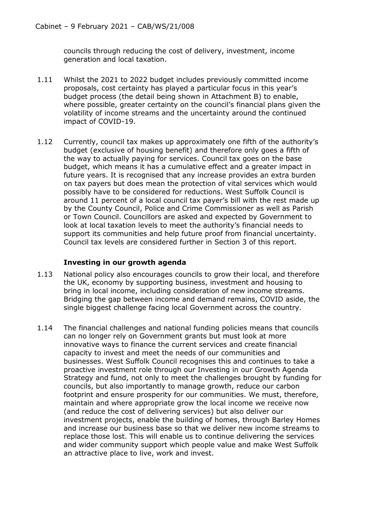councils through reducing the cost of delivery, investment, income generation and local taxation.

- 1.11 Whilst the 2021 to 2022 budget includes previously committed income proposals, cost certainty has played a particular focus in this year's budget process (the detail being shown in Attachment B) to enable, where possible, greater certainty on the council's financial plans given the volatility of income streams and the uncertainty around the continued impact of COVID-19.
- 1.12 Currently, council tax makes up approximately one fifth of the authority's budget (exclusive of housing benefit) and therefore only goes a fifth of the way to actually paying for services. Council tax goes on the base budget, which means it has a cumulative effect and a greater impact in future years. It is recognised that any increase provides an extra burden on tax payers but does mean the protection of vital services which would possibly have to be considered for reductions. West Suffolk Council is around 11 percent of a local council tax payer's bill with the rest made up by the County Council, Police and Crime Commissioner as well as Parish or Town Council. Councillors are asked and expected by Government to look at local taxation levels to meet the authority's financial needs to support its communities and help future proof from financial uncertainty. Council tax levels are considered further in Section 3 of this report.

## **Investing in our growth agenda**

- 1.13 National policy also encourages councils to grow their local, and therefore the UK, economy by supporting business, investment and housing to bring in local income, including consideration of new income streams. Bridging the gap between income and demand remains, COVID aside, the single biggest challenge facing local Government across the country.
- 1.14 The financial challenges and national funding policies means that councils can no longer rely on Government grants but must look at more innovative ways to finance the current services and create financial capacity to invest and meet the needs of our communities and businesses. West Suffolk Council recognises this and continues to take a proactive investment role through our Investing in our Growth Agenda Strategy and fund, not only to meet the challenges brought by funding for councils, but also importantly to manage growth, reduce our carbon footprint and ensure prosperity for our communities. We must, therefore, maintain and where appropriate grow the local income we receive now (and reduce the cost of delivering services) but also deliver our investment projects, enable the building of homes, through Barley Homes and increase our business base so that we deliver new income streams to replace those lost. This will enable us to continue delivering the services and wider community support which people value and make West Suffolk an attractive place to live, work and invest.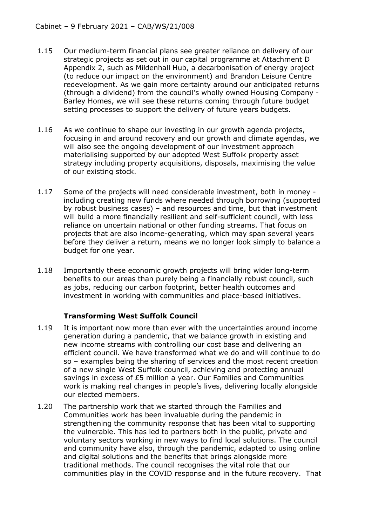- 1.15 Our medium-term financial plans see greater reliance on delivery of our strategic projects as set out in our capital programme at Attachment D Appendix 2, such as Mildenhall Hub, a decarbonisation of energy project (to reduce our impact on the environment) and Brandon Leisure Centre redevelopment. As we gain more certainty around our anticipated returns (through a dividend) from the council's wholly owned Housing Company - Barley Homes, we will see these returns coming through future budget setting processes to support the delivery of future years budgets.
- 1.16 As we continue to shape our investing in our growth agenda projects, focusing in and around recovery and our growth and climate agendas, we will also see the ongoing development of our investment approach materialising supported by our adopted West Suffolk property asset strategy including property acquisitions, disposals, maximising the value of our existing stock.
- 1.17 Some of the projects will need considerable investment, both in money including creating new funds where needed through borrowing (supported by robust business cases) – and resources and time, but that investment will build a more financially resilient and self-sufficient council, with less reliance on uncertain national or other funding streams. That focus on projects that are also income-generating, which may span several years before they deliver a return, means we no longer look simply to balance a budget for one year.
- 1.18 Importantly these economic growth projects will bring wider long-term benefits to our areas than purely being a financially robust council, such as jobs, reducing our carbon footprint, better health outcomes and investment in working with communities and place-based initiatives.

## **Transforming West Suffolk Council**

- 1.19 It is important now more than ever with the uncertainties around income generation during a pandemic, that we balance growth in existing and new income streams with controlling our cost base and delivering an efficient council. We have transformed what we do and will continue to do so – examples being the sharing of services and the most recent creation of a new single West Suffolk council, achieving and protecting annual savings in excess of £5 million a year. Our Families and Communities work is making real changes in people's lives, delivering locally alongside our elected members.
- 1.20 The partnership work that we started through the Families and Communities work has been invaluable during the pandemic in strengthening the community response that has been vital to supporting the vulnerable. This has led to partners both in the public, private and voluntary sectors working in new ways to find local solutions. The council and community have also, through the pandemic, adapted to using online and digital solutions and the benefits that brings alongside more traditional methods. The council recognises the vital role that our communities play in the COVID response and in the future recovery. That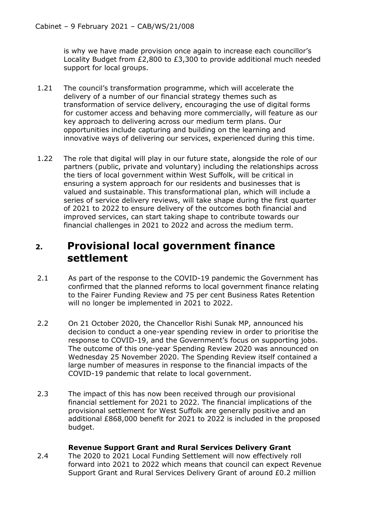is why we have made provision once again to increase each councillor's Locality Budget from £2,800 to £3,300 to provide additional much needed support for local groups.

- 1.21 The council's transformation programme, which will accelerate the delivery of a number of our financial strategy themes such as transformation of service delivery, encouraging the use of digital forms for customer access and behaving more commercially, will feature as our key approach to delivering across our medium term plans. Our opportunities include capturing and building on the learning and innovative ways of delivering our services, experienced during this time.
- 1.22 The role that digital will play in our future state, alongside the role of our partners (public, private and voluntary) including the relationships across the tiers of local government within West Suffolk, will be critical in ensuring a system approach for our residents and businesses that is valued and sustainable. This transformational plan, which will include a series of service delivery reviews, will take shape during the first quarter of 2021 to 2022 to ensure delivery of the outcomes both financial and improved services, can start taking shape to contribute towards our financial challenges in 2021 to 2022 and across the medium term.

# **2. Provisional local government finance settlement**

- 2.1 As part of the response to the COVID-19 pandemic the Government has confirmed that the planned reforms to local government finance relating to the Fairer Funding Review and 75 per cent Business Rates Retention will no longer be implemented in 2021 to 2022.
- 2.2 On 21 October 2020, the Chancellor Rishi Sunak MP, announced his decision to conduct a one-year spending review in order to prioritise the response to COVID-19, and the Government's focus on supporting jobs. The outcome of this one-year Spending Review 2020 was announced on Wednesday 25 November 2020. The Spending Review itself contained a large number of measures in response to the financial impacts of the COVID-19 pandemic that relate to local government.
- 2.3 The impact of this has now been received through our provisional financial settlement for 2021 to 2022. The financial implications of the provisional settlement for West Suffolk are generally positive and an additional £868,000 benefit for 2021 to 2022 is included in the proposed budget.

## **Revenue Support Grant and Rural Services Delivery Grant**

2.4 The 2020 to 2021 Local Funding Settlement will now effectively roll forward into 2021 to 2022 which means that council can expect Revenue Support Grant and Rural Services Delivery Grant of around £0.2 million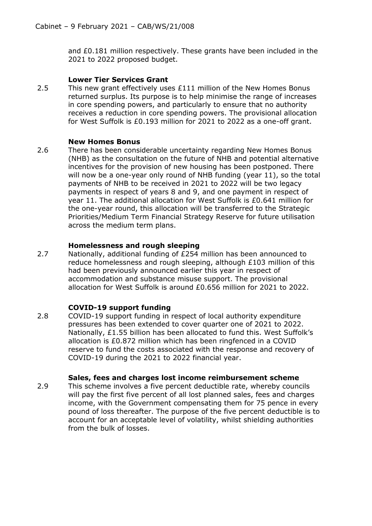and £0.181 million respectively. These grants have been included in the 2021 to 2022 proposed budget.

#### **Lower Tier Services Grant**

2.5 This new grant effectively uses £111 million of the New Homes Bonus returned surplus. Its purpose is to help minimise the range of increases in core spending powers, and particularly to ensure that no authority receives a reduction in core spending powers. The provisional allocation for West Suffolk is £0.193 million for 2021 to 2022 as a one-off grant.

#### **New Homes Bonus**

2.6 There has been considerable uncertainty regarding New Homes Bonus (NHB) as the consultation on the future of NHB and potential alternative incentives for the provision of new housing has been postponed. There will now be a one-year only round of NHB funding (year 11), so the total payments of NHB to be received in 2021 to 2022 will be two legacy payments in respect of years 8 and 9, and one payment in respect of year 11. The additional allocation for West Suffolk is £0.641 million for the one-year round, this allocation will be transferred to the Strategic Priorities/Medium Term Financial Strategy Reserve for future utilisation across the medium term plans.

## **Homelessness and rough sleeping**

2.7 Nationally, additional funding of £254 million has been announced to reduce homelessness and rough sleeping, although £103 million of this had been previously announced earlier this year in respect of accommodation and substance misuse support. The provisional allocation for West Suffolk is around £0.656 million for 2021 to 2022.

## **COVID-19 support funding**

2.8 COVID-19 support funding in respect of local authority expenditure pressures has been extended to cover quarter one of 2021 to 2022. Nationally, £1.55 billion has been allocated to fund this. West Suffolk's allocation is £0.872 million which has been ringfenced in a COVID reserve to fund the costs associated with the response and recovery of COVID-19 during the 2021 to 2022 financial year.

## **Sales, fees and charges lost income reimbursement scheme**

2.9 This scheme involves a five percent deductible rate, whereby councils will pay the first five percent of all lost planned sales, fees and charges income, with the Government compensating them for 75 pence in every pound of loss thereafter. The purpose of the five percent deductible is to account for an acceptable level of volatility, whilst shielding authorities from the bulk of losses.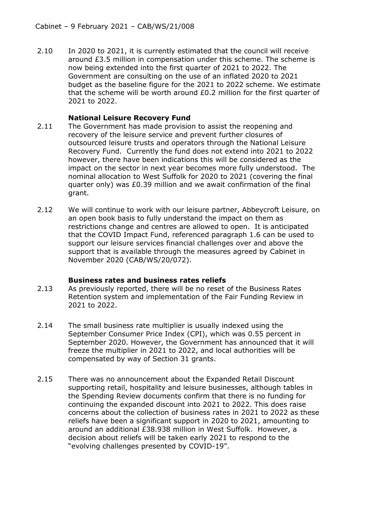2.10 In 2020 to 2021, it is currently estimated that the council will receive around £3.5 million in compensation under this scheme. The scheme is now being extended into the first quarter of 2021 to 2022. The Government are consulting on the use of an inflated 2020 to 2021 budget as the baseline figure for the 2021 to 2022 scheme. We estimate that the scheme will be worth around £0.2 million for the first quarter of 2021 to 2022.

### **National Leisure Recovery Fund**

- 2.11 The Government has made provision to assist the reopening and recovery of the leisure service and prevent further closures of outsourced leisure trusts and operators through the National Leisure Recovery Fund. Currently the fund does not extend into 2021 to 2022 however, there have been indications this will be considered as the impact on the sector in next year becomes more fully understood. The nominal allocation to West Suffolk for 2020 to 2021 (covering the final quarter only) was £0.39 million and we await confirmation of the final grant.
- 2.12 We will continue to work with our leisure partner, Abbeycroft Leisure, on an open book basis to fully understand the impact on them as restrictions change and centres are allowed to open. It is anticipated that the COVID Impact Fund, referenced paragraph 1.6 can be used to support our leisure services financial challenges over and above the support that is available through the measures agreed by Cabinet in November 2020 (CAB/WS/20/072).

#### **Business rates and business rates reliefs**

- 2.13 As previously reported, there will be no reset of the Business Rates Retention system and implementation of the Fair Funding Review in 2021 to 2022.
- 2.14 The small business rate multiplier is usually indexed using the September Consumer Price Index (CPI), which was 0.55 percent in September 2020. However, the Government has announced that it will freeze the multiplier in 2021 to 2022, and local authorities will be compensated by way of Section 31 grants.
- 2.15 There was no announcement about the Expanded Retail Discount supporting retail, hospitality and leisure businesses, although tables in the Spending Review documents confirm that there is no funding for continuing the expanded discount into 2021 to 2022. This does raise concerns about the collection of business rates in 2021 to 2022 as these reliefs have been a significant support in 2020 to 2021, amounting to around an additional £38.938 million in West Suffolk. However, a decision about reliefs will be taken early 2021 to respond to the "evolving challenges presented by COVID-19".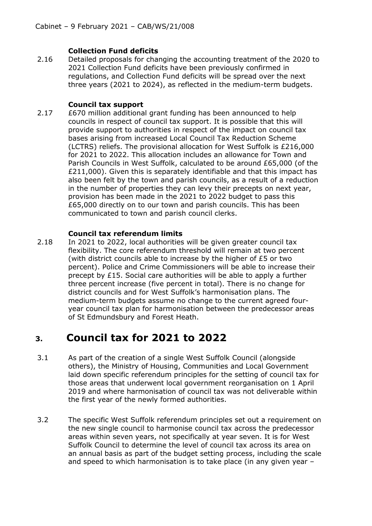## **Collection Fund deficits**

2.16 Detailed proposals for changing the accounting treatment of the 2020 to 2021 Collection Fund deficits have been previously confirmed in regulations, and Collection Fund deficits will be spread over the next three years (2021 to 2024), as reflected in the medium-term budgets.

## **Council tax support**

2.17 £670 million additional grant funding has been announced to help councils in respect of council tax support. It is possible that this will provide support to authorities in respect of the impact on council tax bases arising from increased Local Council Tax Reduction Scheme (LCTRS) reliefs. The provisional allocation for West Suffolk is £216,000 for 2021 to 2022. This allocation includes an allowance for Town and Parish Councils in West Suffolk, calculated to be around £65,000 (of the £211,000). Given this is separately identifiable and that this impact has also been felt by the town and parish councils, as a result of a reduction in the number of properties they can levy their precepts on next year, provision has been made in the 2021 to 2022 budget to pass this £65,000 directly on to our town and parish councils. This has been communicated to town and parish council clerks.

## **Council tax referendum limits**

2.18 In 2021 to 2022, local authorities will be given greater council tax flexibility. The core referendum threshold will remain at two percent (with district councils able to increase by the higher of £5 or two percent). Police and Crime Commissioners will be able to increase their precept by £15. Social care authorities will be able to apply a further three percent increase (five percent in total). There is no change for district councils and for West Suffolk's harmonisation plans. The medium-term budgets assume no change to the current agreed fouryear council tax plan for harmonisation between the predecessor areas of St Edmundsbury and Forest Heath.

# **3. Council tax for 2021 to 2022**

- 3.1 As part of the creation of a single West Suffolk Council (alongside others), the Ministry of Housing, Communities and Local Government laid down specific referendum principles for the setting of council tax for those areas that underwent local government reorganisation on 1 April 2019 and where harmonisation of council tax was not deliverable within the first year of the newly formed authorities.
- 3.2 The specific West Suffolk referendum principles set out a requirement on the new single council to harmonise council tax across the predecessor areas within seven years, not specifically at year seven. It is for West Suffolk Council to determine the level of council tax across its area on an annual basis as part of the budget setting process, including the scale and speed to which harmonisation is to take place (in any given year –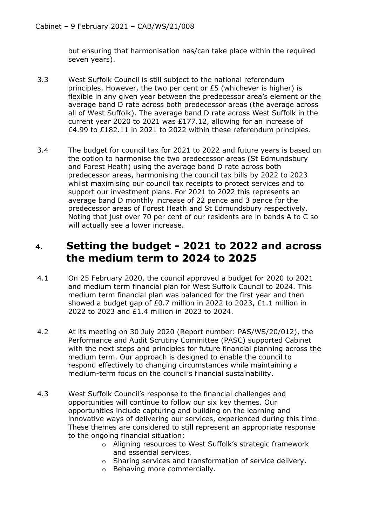but ensuring that harmonisation has/can take place within the required seven years).

- 3.3 West Suffolk Council is still subject to the national referendum principles. However, the two per cent or £5 (whichever is higher) is flexible in any given year between the predecessor area's element or the average band D rate across both predecessor areas (the average across all of West Suffolk). The average band D rate across West Suffolk in the current year 2020 to 2021 was £177.12, allowing for an increase of £4.99 to £182.11 in 2021 to 2022 within these referendum principles.
- 3.4 The budget for council tax for 2021 to 2022 and future years is based on the option to harmonise the two predecessor areas (St Edmundsbury and Forest Heath) using the average band D rate across both predecessor areas, harmonising the council tax bills by 2022 to 2023 whilst maximising our council tax receipts to protect services and to support our investment plans. For 2021 to 2022 this represents an average band D monthly increase of 22 pence and 3 pence for the predecessor areas of Forest Heath and St Edmundsbury respectively. Noting that just over 70 per cent of our residents are in bands A to C so will actually see a lower increase.

# **4. Setting the budget - 2021 to 2022 and across the medium term to 2024 to 2025**

- 4.1 On 25 February 2020, the council approved a budget for 2020 to 2021 and medium term financial plan for West Suffolk Council to 2024. This medium term financial plan was balanced for the first year and then showed a budget gap of £0.7 million in 2022 to 2023,  $£1.1$  million in 2022 to 2023 and £1.4 million in 2023 to 2024.
- 4.2 At its meeting on 30 July 2020 (Report number: PAS/WS/20/012), the Performance and Audit Scrutiny Committee (PASC) supported Cabinet with the next steps and principles for future financial planning across the medium term. Our approach is designed to enable the council to respond effectively to changing circumstances while maintaining a medium-term focus on the council's financial sustainability.
- 4.3 West Suffolk Council's response to the financial challenges and opportunities will continue to follow our six key themes. Our opportunities include capturing and building on the learning and innovative ways of delivering our services, experienced during this time. These themes are considered to still represent an appropriate response to the ongoing financial situation:
	- o Aligning resources to West Suffolk's strategic framework and essential services.
	- o Sharing services and transformation of service delivery.
	- o Behaving more commercially.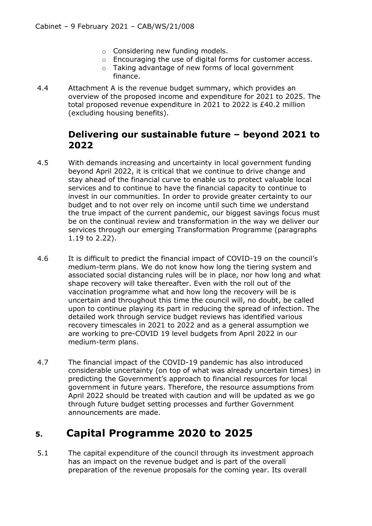- o Considering new funding models.
- o Encouraging the use of digital forms for customer access.
- o Taking advantage of new forms of local government finance.
- 4.4 Attachment A is the revenue budget summary, which provides an overview of the proposed income and expenditure for 2021 to 2025. The total proposed revenue expenditure in 2021 to 2022 is £40.2 million (excluding housing benefits).

## **Delivering our sustainable future – beyond 2021 to 2022**

- 4.5 With demands increasing and uncertainty in local government funding beyond April 2022, it is critical that we continue to drive change and stay ahead of the financial curve to enable us to protect valuable local services and to continue to have the financial capacity to continue to invest in our communities. In order to provide greater certainty to our budget and to not over rely on income until such time we understand the true impact of the current pandemic, our biggest savings focus must be on the continual review and transformation in the way we deliver our services through our emerging Transformation Programme (paragraphs 1.19 to 2.22).
- 4.6 It is difficult to predict the financial impact of COVID-19 on the council's medium-term plans. We do not know how long the tiering system and associated social distancing rules will be in place, nor how long and what shape recovery will take thereafter. Even with the roll out of the vaccination programme what and how long the recovery will be is uncertain and throughout this time the council will, no doubt, be called upon to continue playing its part in reducing the spread of infection. The detailed work through service budget reviews has identified various recovery timescales in 2021 to 2022 and as a general assumption we are working to pre-COVID 19 level budgets from April 2022 in our medium-term plans.
- 4.7 The financial impact of the COVID-19 pandemic has also introduced considerable uncertainty (on top of what was already uncertain times) in predicting the Government's approach to financial resources for local government in future years. Therefore, the resource assumptions from April 2022 should be treated with caution and will be updated as we go through future budget setting processes and further Government announcements are made.

# **5. Capital Programme 2020 to 2025**

5.1 The capital expenditure of the council through its investment approach has an impact on the revenue budget and is part of the overall preparation of the revenue proposals for the coming year. Its overall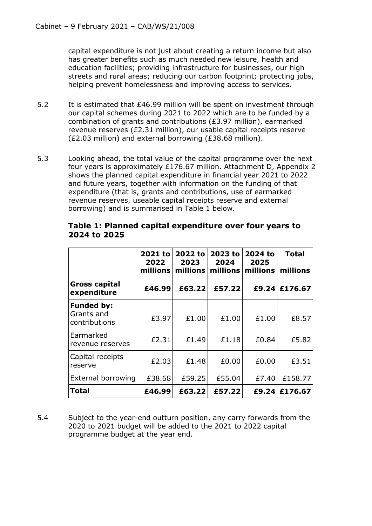capital expenditure is not just about creating a return income but also has greater benefits such as much needed new leisure, health and education facilities; providing infrastructure for businesses, our high streets and rural areas; reducing our carbon footprint; protecting jobs, helping prevent homelessness and improving access to services.

- 5.2 It is estimated that £46.99 million will be spent on investment through our capital schemes during 2021 to 2022 which are to be funded by a combination of grants and contributions (£3.97 million), earmarked revenue reserves (£2.31 million), our usable capital receipts reserve (£2.03 million) and external borrowing (£38.68 million).
- 5.3 Looking ahead, the total value of the capital programme over the next four years is approximately £176.67 million. Attachment D, Appendix 2 shows the planned capital expenditure in financial year 2021 to 2022 and future years, together with information on the funding of that expenditure (that is, grants and contributions, use of earmarked revenue reserves, useable capital receipts reserve and external borrowing) and is summarised in Table 1 below.

|                                                  | 2021 to<br>2022<br>millions | 2022 to<br>2023<br>millions | 2023 to<br>2024<br>millions | 2024 to<br>2025<br>millions | <b>Total</b><br>millions |
|--------------------------------------------------|-----------------------------|-----------------------------|-----------------------------|-----------------------------|--------------------------|
| <b>Gross capital</b><br>expenditure              | £46.99                      | £63.22                      | £57.22                      | £9.24                       | £176.67                  |
| <b>Funded by:</b><br>Grants and<br>contributions | £3.97                       | £1.00                       | £1.00                       | £1.00                       | £8.57                    |
| Earmarked<br>revenue reserves                    | £2.31                       | £1.49                       | £1.18                       | £0.84                       | £5.82                    |
| Capital receipts<br>reserve                      | £2.03                       | £1.48                       | £0.00                       | £0.00                       | £3.51                    |
| External borrowing                               | £38.68                      | £59.25                      | £55.04                      | £7.40                       | £158.77                  |
| Total                                            | £46.99                      | £63.22                      | £57.22                      | £9.24                       | £176.67                  |

## **Table 1: Planned capital expenditure over four years to 2024 to 2025**

5.4 Subject to the year-end outturn position, any carry forwards from the 2020 to 2021 budget will be added to the 2021 to 2022 capital programme budget at the year end.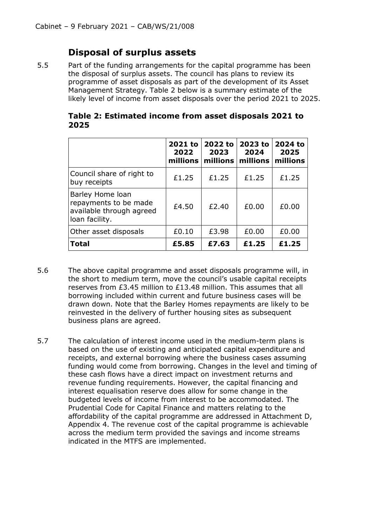## **Disposal of surplus assets**

5.5 Part of the funding arrangements for the capital programme has been the disposal of surplus assets. The council has plans to review its programme of asset disposals as part of the development of its Asset Management Strategy. Table 2 below is a summary estimate of the likely level of income from asset disposals over the period 2021 to 2025.

|      |  | Table 2. ESUIHALED HILDINE HOHI ASSEL DISPOSAIS 2021 LO |
|------|--|---------------------------------------------------------|
| 2025 |  |                                                         |
|      |  |                                                         |

**Table 2: Estimated income from asset disposals 2021 to** 

|                                                                                         | 2021 to<br>2022<br>millions | 2022 to<br>2023<br>millions | 2023 to<br>2024<br>millions | 2024 to<br>2025<br>millions |
|-----------------------------------------------------------------------------------------|-----------------------------|-----------------------------|-----------------------------|-----------------------------|
| Council share of right to<br>buy receipts                                               | £1.25                       | £1.25                       | £1.25                       | £1.25                       |
| Barley Home loan<br>repayments to be made<br>available through agreed<br>loan facility. | £4.50                       | £2.40                       | £0.00                       | £0.00                       |
| Other asset disposals                                                                   | £0.10                       | £3.98                       | £0.00                       | £0.00                       |
| <b>Total</b>                                                                            | £5.85                       | £7.63                       | £1.25                       | £1.25                       |

- 5.6 The above capital programme and asset disposals programme will, in the short to medium term, move the council's usable capital receipts reserves from £3.45 million to £13.48 million. This assumes that all borrowing included within current and future business cases will be drawn down. Note that the Barley Homes repayments are likely to be reinvested in the delivery of further housing sites as subsequent business plans are agreed.
- 5.7 The calculation of interest income used in the medium-term plans is based on the use of existing and anticipated capital expenditure and receipts, and external borrowing where the business cases assuming funding would come from borrowing. Changes in the level and timing of these cash flows have a direct impact on investment returns and revenue funding requirements. However, the capital financing and interest equalisation reserve does allow for some change in the budgeted levels of income from interest to be accommodated. The Prudential Code for Capital Finance and matters relating to the affordability of the capital programme are addressed in Attachment D, Appendix 4. The revenue cost of the capital programme is achievable across the medium term provided the savings and income streams indicated in the MTFS are implemented.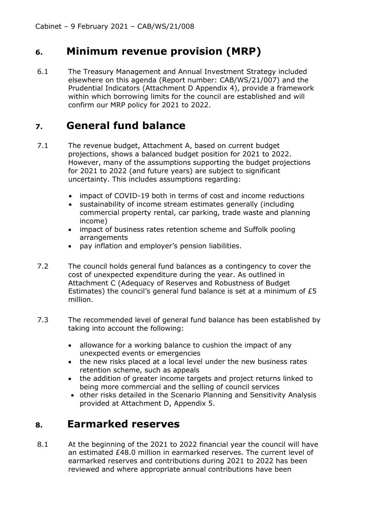# **6. Minimum revenue provision (MRP)**

6.1 The Treasury Management and Annual Investment Strategy included elsewhere on this agenda (Report number: CAB/WS/21/007) and the Prudential Indicators (Attachment D Appendix 4), provide a framework within which borrowing limits for the council are established and will confirm our MRP policy for 2021 to 2022.

# **7. General fund balance**

- 7.1 The revenue budget, Attachment A, based on current budget projections, shows a balanced budget position for 2021 to 2022. However, many of the assumptions supporting the budget projections for 2021 to 2022 (and future years) are subject to significant uncertainty. This includes assumptions regarding:
	- impact of COVID-19 both in terms of cost and income reductions
	- sustainability of income stream estimates generally (including commercial property rental, car parking, trade waste and planning income)
	- impact of business rates retention scheme and Suffolk pooling arrangements
	- pay inflation and employer's pension liabilities.
- 7.2 The council holds general fund balances as a contingency to cover the cost of unexpected expenditure during the year. As outlined in Attachment C (Adequacy of Reserves and Robustness of Budget Estimates) the council's general fund balance is set at a minimum of £5 million.
- 7.3 The recommended level of general fund balance has been established by taking into account the following:
	- allowance for a working balance to cushion the impact of any unexpected events or emergencies
	- the new risks placed at a local level under the new business rates retention scheme, such as appeals
	- the addition of greater income targets and project returns linked to being more commercial and the selling of council services
	- other risks detailed in the Scenario Planning and Sensitivity Analysis provided at Attachment D, Appendix 5.

# **8. Earmarked reserves**

8.1 At the beginning of the 2021 to 2022 financial year the council will have an estimated £48.0 million in earmarked reserves. The current level of earmarked reserves and contributions during 2021 to 2022 has been reviewed and where appropriate annual contributions have been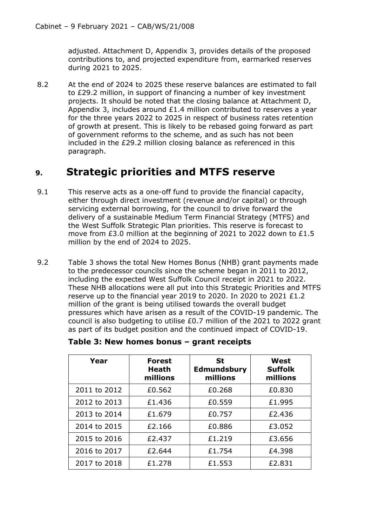adjusted. Attachment D, Appendix 3, provides details of the proposed contributions to, and projected expenditure from, earmarked reserves during 2021 to 2025.

8.2 At the end of 2024 to 2025 these reserve balances are estimated to fall to £29.2 million, in support of financing a number of key investment projects. It should be noted that the closing balance at Attachment D, Appendix 3, includes around £1.4 million contributed to reserves a year for the three years 2022 to 2025 in respect of business rates retention of growth at present. This is likely to be rebased going forward as part of government reforms to the scheme, and as such has not been included in the £29.2 million closing balance as referenced in this paragraph.

# **9. Strategic priorities and MTFS reserve**

- 9.1 This reserve acts as a one-off fund to provide the financial capacity, either through direct investment (revenue and/or capital) or through servicing external borrowing, for the council to drive forward the delivery of a sustainable Medium Term Financial Strategy (MTFS) and the West Suffolk Strategic Plan priorities. This reserve is forecast to move from £3.0 million at the beginning of 2021 to 2022 down to £1.5 million by the end of 2024 to 2025.
- 9.2 Table 3 shows the total New Homes Bonus (NHB) grant payments made to the predecessor councils since the scheme began in 2011 to 2012, including the expected West Suffolk Council receipt in 2021 to 2022. These NHB allocations were all put into this Strategic Priorities and MTFS reserve up to the financial year 2019 to 2020. In 2020 to 2021 £1.2 million of the grant is being utilised towards the overall budget pressures which have arisen as a result of the COVID-19 pandemic. The council is also budgeting to utilise  $£0.7$  million of the 2021 to 2022 grant as part of its budget position and the continued impact of COVID-19.

| Year         | <b>Forest</b><br>Heath<br>millions | <b>St</b><br><b>Edmundsbury</b><br>millions | West<br><b>Suffolk</b><br>millions |
|--------------|------------------------------------|---------------------------------------------|------------------------------------|
| 2011 to 2012 | £0.562                             | £0.268                                      | £0.830                             |
| 2012 to 2013 | £1.436                             | £0.559                                      | £1,995                             |
| 2013 to 2014 | £1.679                             | £0.757                                      | £2.436                             |
| 2014 to 2015 | £2.166                             | £0.886                                      | £3.052                             |
| 2015 to 2016 | £2.437                             | £1.219                                      | £3.656                             |
| 2016 to 2017 | £2.644                             | £1.754                                      | £4.398                             |
| 2017 to 2018 | £1,278                             | £1.553                                      | £2.831                             |

|  | Table 3: New homes bonus - grant receipts |  |  |  |
|--|-------------------------------------------|--|--|--|
|--|-------------------------------------------|--|--|--|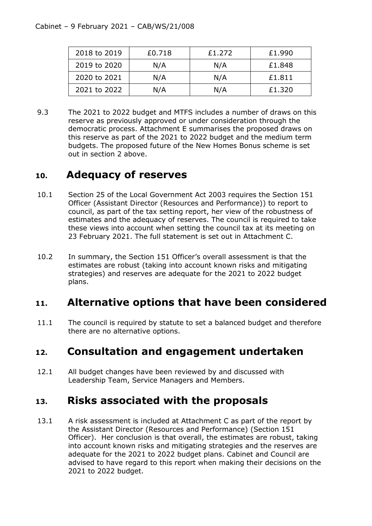| 2018 to 2019 | £0.718 | £1.272 | £1.990 |
|--------------|--------|--------|--------|
| 2019 to 2020 | N/A    | N/A    | £1.848 |
| 2020 to 2021 | N/A    | N/A    | £1.811 |
| 2021 to 2022 | N/A    | N/A    | £1.320 |

9.3 The 2021 to 2022 budget and MTFS includes a number of draws on this reserve as previously approved or under consideration through the democratic process. Attachment E summarises the proposed draws on this reserve as part of the 2021 to 2022 budget and the medium term budgets. The proposed future of the New Homes Bonus scheme is set out in section 2 above.

# **10. Adequacy of reserves**

- 10.1 Section 25 of the Local Government Act 2003 requires the Section 151 Officer (Assistant Director (Resources and Performance)) to report to council, as part of the tax setting report, her view of the robustness of estimates and the adequacy of reserves. The council is required to take these views into account when setting the council tax at its meeting on 23 February 2021. The full statement is set out in Attachment C.
- 10.2 In summary, the Section 151 Officer's overall assessment is that the estimates are robust (taking into account known risks and mitigating strategies) and reserves are adequate for the 2021 to 2022 budget plans.

# **11. Alternative options that have been considered**

11.1 The council is required by statute to set a balanced budget and therefore there are no alternative options.

# **12. Consultation and engagement undertaken**

12.1 All budget changes have been reviewed by and discussed with Leadership Team, Service Managers and Members.

# **13. Risks associated with the proposals**

13.1 A risk assessment is included at Attachment C as part of the report by the Assistant Director (Resources and Performance) (Section 151 Officer). Her conclusion is that overall, the estimates are robust, taking into account known risks and mitigating strategies and the reserves are adequate for the 2021 to 2022 budget plans. Cabinet and Council are advised to have regard to this report when making their decisions on the 2021 to 2022 budget.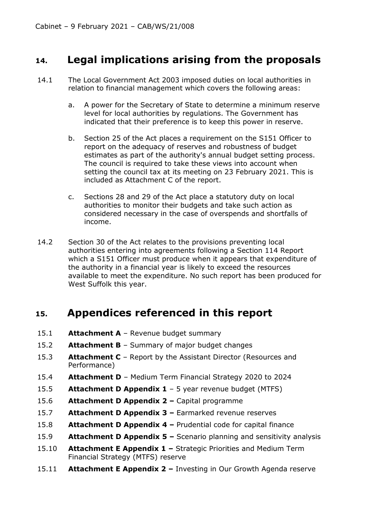# **14. Legal implications arising from the proposals**

- 14.1 The Local Government Act 2003 imposed duties on local authorities in relation to financial management which covers the following areas:
	- a. A power for the Secretary of State to determine a minimum reserve level for local authorities by regulations. The Government has indicated that their preference is to keep this power in reserve.
	- b. Section 25 of the Act places a requirement on the S151 Officer to report on the adequacy of reserves and robustness of budget estimates as part of the authority's annual budget setting process. The council is required to take these views into account when setting the council tax at its meeting on 23 February 2021. This is included as Attachment C of the report.
	- c. Sections 28 and 29 of the Act place a statutory duty on local authorities to monitor their budgets and take such action as considered necessary in the case of overspends and shortfalls of income.
- 14.2 Section 30 of the Act relates to the provisions preventing local authorities entering into agreements following a Section 114 Report which a S151 Officer must produce when it appears that expenditure of the authority in a financial year is likely to exceed the resources available to meet the expenditure. No such report has been produced for West Suffolk this year.

# **15. Appendices referenced in this report**

- 15.1 **Attachment A** Revenue budget summary
- 15.2 **Attachment B** Summary of major budget changes
- 15.3 **Attachment C** Report by the Assistant Director (Resources and Performance)
- 15.4 **Attachment D** Medium Term Financial Strategy 2020 to 2024
- 15.5 **Attachment D Appendix 1** 5 year revenue budget (MTFS)
- 15.6 **Attachment D Appendix 2 –** Capital programme
- 15.7 **Attachment D Appendix 3 –** Earmarked revenue reserves
- 15.8 **Attachment D Appendix 4 –** Prudential code for capital finance
- 15.9 **Attachment D Appendix 5 –** Scenario planning and sensitivity analysis
- 15.10 **Attachment E Appendix 1 –** Strategic Priorities and Medium Term Financial Strategy (MTFS) reserve
- 15.11 **Attachment E Appendix 2 –** Investing in Our Growth Agenda reserve